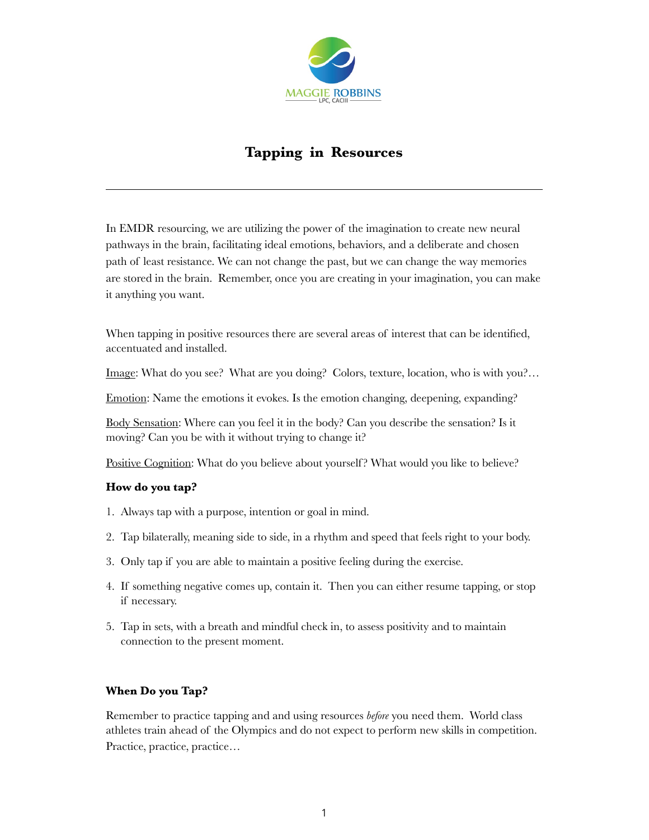

# **Tapping in Resources**

In EMDR resourcing, we are utilizing the power of the imagination to create new neural pathways in the brain, facilitating ideal emotions, behaviors, and a deliberate and chosen path of least resistance. We can not change the past, but we can change the way memories are stored in the brain. Remember, once you are creating in your imagination, you can make it anything you want.

When tapping in positive resources there are several areas of interest that can be identified, accentuated and installed.

Image: What do you see? What are you doing? Colors, texture, location, who is with you?…

Emotion: Name the emotions it evokes. Is the emotion changing, deepening, expanding?

Body Sensation: Where can you feel it in the body? Can you describe the sensation? Is it moving? Can you be with it without trying to change it?

Positive Cognition: What do you believe about yourself? What would you like to believe?

### **How do you tap?**

- 1. Always tap with a purpose, intention or goal in mind.
- 2. Tap bilaterally, meaning side to side, in a rhythm and speed that feels right to your body.
- 3. Only tap if you are able to maintain a positive feeling during the exercise.
- 4. If something negative comes up, contain it. Then you can either resume tapping, or stop if necessary.
- 5. Tap in sets, with a breath and mindful check in, to assess positivity and to maintain connection to the present moment.

### **When Do you Tap?**

Remember to practice tapping and and using resources *before* you need them. World class athletes train ahead of the Olympics and do not expect to perform new skills in competition. Practice, practice, practice…